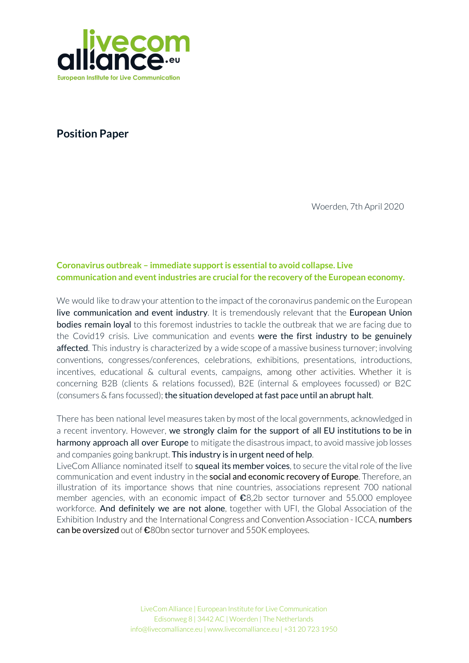

**Position Paper**

Woerden, 7th April 2020

# **Coronavirus outbreak – immediate supportis essentialto avoid collapse. Live communication and eventindustries are crucial for the recovery ofthe European economy.**

We would like to draw your attention to the impact of the coronavirus pandemic on the European live communication and event industry. It is tremendously relevant that the European Union **bodies remain loyal** to this foremost industries to tackle the outbreak that we are facing due to the Covid19 crisis. Live communication and events were the first industry to be genuinely affected. This industry is characterized by a wide scope of a massive business turnover; involving conventions, congresses/conferences, celebrations, exhibitions, presentations, introductions, incentives, educational & cultural events, campaigns, among other activities. Whether it is concerning B2B (clients & relations focussed), B2E (internal & employees focussed) or B2C (consumers & fans focussed); the situation developed at fast pace until an abrupt halt.

There has been national level measures taken by most of the local governments, acknowledged in a recent inventory. However, we strongly claim for the support of all EU institutions to be in harmony approach all over Europe to mitigate the disastrous impact, to avoid massive job losses and companies going bankrupt. This industry is in urgent need of help.

LiveCom Alliance nominated itself to squeal its member voices, to secure the vital role of the live communication and event industry in the **social and economic recovery of Europe**. Therefore, an illustration of its importance shows that nine countries, associations represent 700 national member agencies, with an economic impact of  $\epsilon$ 8,2b sector turnover and 55.000 employee workforce. And definitely we are not alone, together with UFI, the Global Association of the Exhibition Industry and the International Congress and Convention Association - ICCA, numbers can be oversized out of  $\epsilon$ 80bn sector turnover and 550K employees.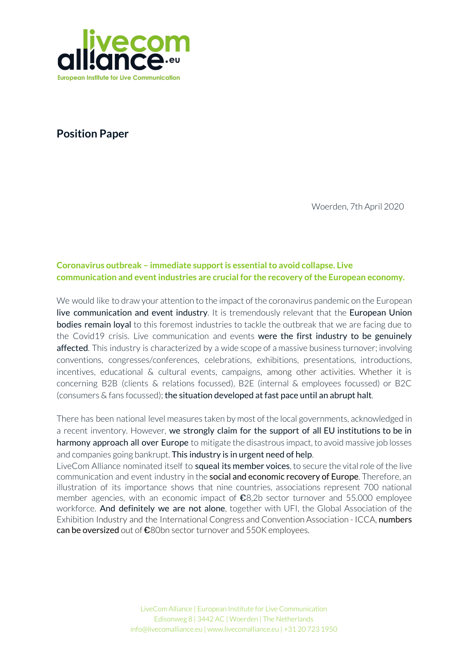

#### **Huge economic impact on losses due to cancelled/postponed events**

Attention! Historically accurate, the outbreak of the coronavirus has unprecedented caused the downsizing situation of reduction of events never before registered. Intrinsically all events worldwide are in cessation since the start of the lockdown forced by its crisis. Taking into consideration the rush of event's cancellation, additionally the events that were forced to be rescheduled later this year companies are by this time in a disfavor of severe difficulties for the reason of a total grounded. This keeps creating huge domino effects for many industries, impacting severely the whole ecosystem.

We evoke your alertness to the **economic damage in Europe** caused by events not taking place as planned for 2020. An idea to break it down easily and connect it to the Livecom Alliance recently publication European Industry Survey (by RIFEL), presented the generation of business as of 8.2 billion and 55k employees. In total only **before Spring,** numbers are fruitfully as high as 37 billion euros, added to the impressive 278,000 jobs that are about to be lost in Europe.

#### **The first to be affected, the last to be recovered**

Our principal concern is regarded to the fact that the short term cancellations or postponements had a straightaway impact in the event's economy ecosystem. The first point to note has to pay attention to the delay of scheduled business and revenues. This poses directly an existential risk especially for small and medium sized companies (e.g. agencies, caterers, venues, technical suppliers along with other stakeholders in the chain, including a considerable amount of self-employed people).

Moreover, as already mentioned, we strengthen that our sector was the first to be affected without hesitation. Comparing and contrasting to the recover speed of the gastronomique sector, for example, the live communication and events industry takes considerable outstanding amount of time to reestablish and get the engine running and warm again, from the moment we are allowed to do business. Therefore, we can be considered as one of the last industries to get recovered once its complexity takes into consideration the average timelines of at least 8 weeks, more likely quite a few months, from demand to execution. We believe that with the reinforcement of the European Union bodies, in many instances SMEs are considered as of the backbone of the European economy, and need to be treated with high relevance by the government and institutions of the Member States. We welcome the initiatives already announced by the EU and many Member States' governments, equally we appreciate the allocate funds to shore up the live communication and events industry more than most.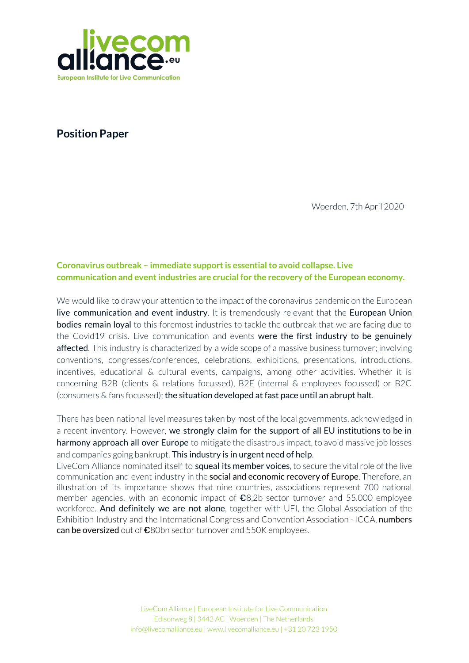

#### **Measures to mitigate the losses are urgently needed**

Following the European Union's institutions decisions of many of the support measures requested earlier, swift and active support of a coordinated approach in all Member States to offer the same set of emergency remedies to affected companies that are without any question indispensable. In particular, immediate liquidity - not only as loans but more important as **instant subsidies -** is required to avoid masses of companies going bankrupt.

# Live Communication and Event industry reinforces the claim to the European Union on presenting specific instruments to act precisely against the concrete economic crisis, with the urgent need of:

- **Subsidies and credits** for the critical transition phase to be provided immediately and without bureaucracy on the local level to all companies sizes, including micro companies and the self-employed;
- Dedicated programmes offering **compensation to event organisers** and related services using the new flexibility of the state aid rules during the crisis situation;
- Deferral of taxes and of social contributions and other payments due for affected companies until the situation changes;
- Comprehensive protection from banks for all companies, self-employed entrepreneurs and freelancers in our sector;
- Flexibility in employment rules and conditions and support to salary payments to allow keeping employees on board during the crisis and avoid major job losses.

# **Live communication and events bring people (back) together; the spinning wheel for social and economic recovery**

Our industry fulfills an imperative role in recovery phase; **bringing people (back) together**, (re)building communities, creating engagement. Events and live communication are cement for our society and therefore vital for the path to growth, socially and economically. We identified emotionalization and digitalization as the **dominant trending topics**. Incorporating both trends simultaneously is challenging thus far rewarding. Yet, we point out sustainability as an overarching future trend that radiates into all activities within the mission of bringing people (back) together, because this is not only about business impact, our society recovers faster when people are brought together and through lively experiences very well driven by the creative industry totally aligned to our added values.

The European Institute for live communication, LiveCom Alliance, addresses you for the support to coordinate each implementation of powerful measures for our sector without any further delay across the whole EU throughout the member states.